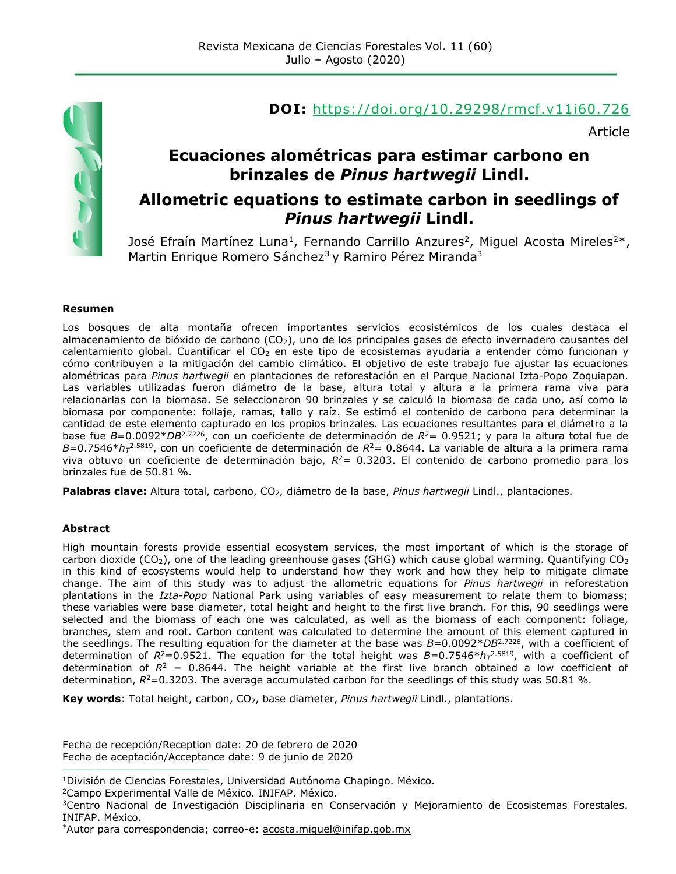

#### **DOI:** <https://doi.org/10.29298/rmcf.v11i60.726>

Article

## **Ecuaciones alométricas para estimar carbono en brinzales de** *Pinus hartwegii* **Lindl.**

#### **Allometric equations to estimate carbon in seedlings of**  *Pinus hartwegii* **Lindl.**

José Efraín Martínez Luna<sup>1</sup>, Fernando Carrillo Anzures<sup>2</sup>, Miguel Acosta Mireles<sup>2\*</sup>, Martin Enrique Romero Sánchez<sup>3</sup> y Ramiro Pérez Miranda<sup>3</sup>

#### **Resumen**

Los bosques de alta montaña ofrecen importantes servicios ecosistémicos de los cuales destaca el almacenamiento de bióxido de carbono (CO<sub>2</sub>), uno de los principales gases de efecto invernadero causantes del calentamiento global. Cuantificar el CO<sub>2</sub> en este tipo de ecosistemas ayudaría a entender cómo funcionan y cómo contribuyen a la mitigación del cambio climático. El objetivo de este trabajo fue ajustar las ecuaciones alométricas para *Pinus hartwegii* en plantaciones de reforestación en el Parque Nacional Izta-Popo Zoquiapan. Las variables utilizadas fueron diámetro de la base, altura total y altura a la primera rama viva para relacionarlas con la biomasa. Se seleccionaron 90 brinzales y se calculó la biomasa de cada uno, así como la biomasa por componente: follaje, ramas, tallo y raíz. Se estimó el contenido de carbono para determinar la cantidad de este elemento capturado en los propios brinzales. Las ecuaciones resultantes para el diámetro a la base fue *B*=0.0092\**DB*2.7226, con un coeficiente de determinación de *R*<sup>2</sup>= 0.9521; y para la altura total fue de *B*=0.7546\**h<sup>T</sup>* 2.5819, con un coeficiente de determinación de *R*<sup>2</sup>= 0.8644. La variable de altura a la primera rama viva obtuvo un coeficiente de determinación bajo, *R*<sup>2</sup>= 0.3203. El contenido de carbono promedio para los brinzales fue de 50.81 %.

Palabras clave: Altura total, carbono, CO<sub>2</sub>, diámetro de la base, *Pinus hartwegii* Lindl., plantaciones.

#### **Abstract**

High mountain forests provide essential ecosystem services, the most important of which is the storage of carbon dioxide (CO<sub>2</sub>), one of the leading greenhouse gases (GHG) which cause global warming. Quantifying CO<sub>2</sub> in this kind of ecosystems would help to understand how they work and how they help to mitigate climate change. The aim of this study was to adjust the allometric equations for *Pinus hartwegii* in reforestation plantations in the *Izta-Popo* National Park using variables of easy measurement to relate them to biomass; these variables were base diameter, total height and height to the first live branch. For this, 90 seedlings were selected and the biomass of each one was calculated, as well as the biomass of each component: foliage, branches, stem and root. Carbon content was calculated to determine the amount of this element captured in the seedlings. The resulting equation for the diameter at the base was *B*=0.0092\**DB*2.7226, with a coefficient of determination of *R*<sup>2</sup>=0.9521. The equation for the total height was *B*=0.7546\**h<sup>T</sup>* 2.5819, with a coefficient of determination of  $R^2 = 0.8644$ . The height variable at the first live branch obtained a low coefficient of determination,  $R^2$ =0.3203. The average accumulated carbon for the seedlings of this study was 50.81 %.

**Key words**: Total height, carbon, CO<sub>2</sub>, base diameter, *Pinus hartwegii* Lindl., plantations.

Fecha de recepción/Reception date: 20 de febrero de 2020 Fecha de aceptación/Acceptance date: 9 de junio de 2020

<sup>2</sup>Campo Experimental Valle de México. INIFAP. México.

**\_\_\_\_\_\_\_\_\_\_\_\_\_\_\_\_\_\_\_\_\_\_\_\_\_\_\_\_\_\_\_**

<sup>1</sup>División de Ciencias Forestales, Universidad Autónoma Chapingo. México.

<sup>&</sup>lt;sup>3</sup>Centro Nacional de Investigación Disciplinaria en Conservación y Mejoramiento de Ecosistemas Forestales. INIFAP. México.

<sup>\*</sup>Autor para correspondencia; correo-e: [acosta.miguel@inifap.gob.mx](mailto:acosta.miguel@inifap.gob.mx)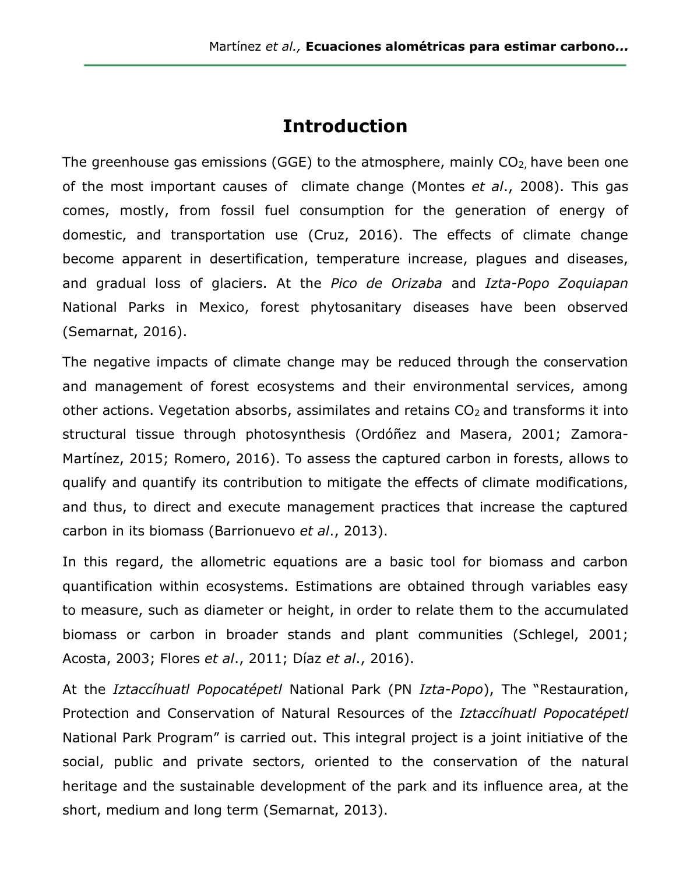## **Introduction**

The greenhouse gas emissions (GGE) to the atmosphere, mainly  $CO<sub>2</sub>$ , have been one of the most important causes of climate change (Montes *et al*., 2008). This gas comes, mostly, from fossil fuel consumption for the generation of energy of domestic, and transportation use (Cruz, 2016). The effects of climate change become apparent in desertification, temperature increase, plagues and diseases, and gradual loss of glaciers. At the *Pico de Orizaba* and *Izta-Popo Zoquiapan* National Parks in Mexico, forest phytosanitary diseases have been observed (Semarnat, 2016).

The negative impacts of climate change may be reduced through the conservation and management of forest ecosystems and their environmental services, among other actions. Vegetation absorbs, assimilates and retains  $CO<sub>2</sub>$  and transforms it into structural tissue through photosynthesis (Ordóñez and Masera, 2001; Zamora-Martínez, 2015; Romero, 2016). To assess the captured carbon in forests, allows to qualify and quantify its contribution to mitigate the effects of climate modifications, and thus, to direct and execute management practices that increase the captured carbon in its biomass (Barrionuevo *et al*., 2013).

In this regard, the allometric equations are a basic tool for biomass and carbon quantification within ecosystems. Estimations are obtained through variables easy to measure, such as diameter or height, in order to relate them to the accumulated biomass or carbon in broader stands and plant communities (Schlegel, 2001; Acosta, 2003; Flores *et al*., 2011; Díaz *et al*., 2016).

At the *Iztaccíhuatl Popocatépetl* National Park (PN *Izta*-*Popo*), The "Restauration, Protection and Conservation of Natural Resources of the *Iztaccíhuatl Popocatépetl* National Park Program" is carried out. This integral project is a joint initiative of the social, public and private sectors, oriented to the conservation of the natural heritage and the sustainable development of the park and its influence area, at the short, medium and long term (Semarnat, 2013).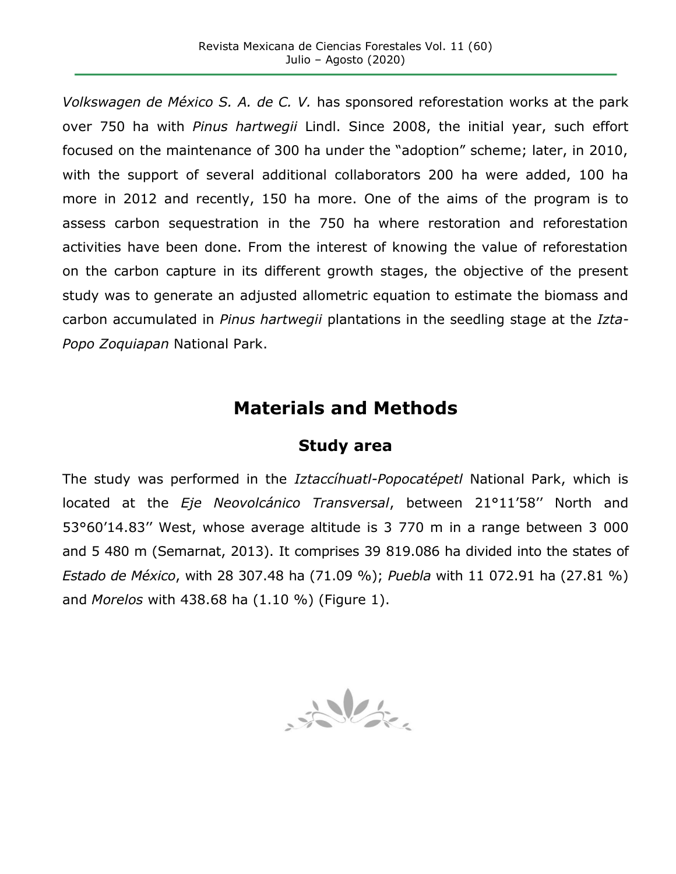*Volkswagen de México S. A. de C. V.* has sponsored reforestation works at the park over 750 ha with *Pinus hartwegii* Lindl. Since 2008, the initial year, such effort focused on the maintenance of 300 ha under the "adoption" scheme; later, in 2010, with the support of several additional collaborators 200 ha were added, 100 ha more in 2012 and recently, 150 ha more. One of the aims of the program is to assess carbon sequestration in the 750 ha where restoration and reforestation activities have been done. From the interest of knowing the value of reforestation on the carbon capture in its different growth stages, the objective of the present study was to generate an adjusted allometric equation to estimate the biomass and carbon accumulated in *Pinus hartwegii* plantations in the seedling stage at the *Izta-Popo Zoquiapan* National Park.

# **Materials and Methods**

#### **Study area**

The study was performed in the *Iztaccíhuatl-Popocatépetl* National Park, which is located at the *Eje Neovolcánico Transversal*, between 21°11'58'' North and 53°60'14.83'' West, whose average altitude is 3 770 m in a range between 3 000 and 5 480 m (Semarnat, 2013). It comprises 39 819.086 ha divided into the states of *Estado de México*, with 28 307.48 ha (71.09 %); *Puebla* with 11 072.91 ha (27.81 %) and *Morelos* with 438.68 ha (1.10 %) (Figure 1).

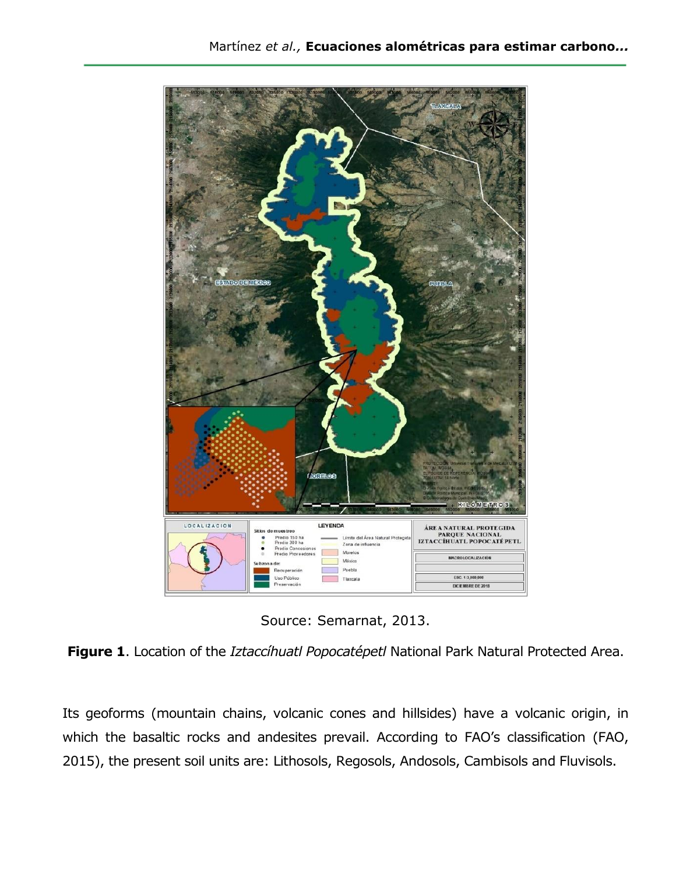

Source: Semarnat, 2013.

**Figure 1**. Location of the *Iztaccíhuatl Popocatépetl* National Park Natural Protected Area.

Its geoforms (mountain chains, volcanic cones and hillsides) have a volcanic origin, in which the basaltic rocks and andesites prevail. According to FAO's classification (FAO, 2015), the present soil units are: Lithosols, Regosols, Andosols, Cambisols and Fluvisols.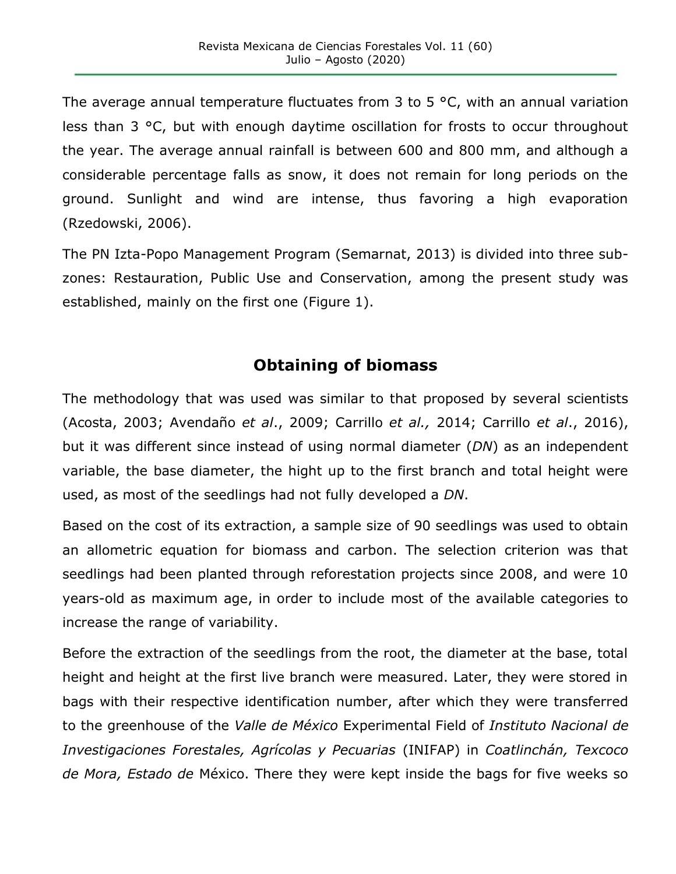The average annual temperature fluctuates from 3 to 5  $\degree$ C, with an annual variation less than 3 °C, but with enough daytime oscillation for frosts to occur throughout the year. The average annual rainfall is between 600 and 800 mm, and although a considerable percentage falls as snow, it does not remain for long periods on the ground. Sunlight and wind are intense, thus favoring a high evaporation (Rzedowski, 2006).

The PN Izta-Popo Management Program (Semarnat, 2013) is divided into three subzones: Restauration, Public Use and Conservation, among the present study was established, mainly on the first one (Figure 1).

## **Obtaining of biomass**

The methodology that was used was similar to that proposed by several scientists (Acosta, 2003; Avendaño *et al*., 2009; Carrillo *et al.,* 2014; Carrillo *et al*., 2016), but it was different since instead of using normal diameter (*DN*) as an independent variable, the base diameter, the hight up to the first branch and total height were used, as most of the seedlings had not fully developed a *DN*.

Based on the cost of its extraction, a sample size of 90 seedlings was used to obtain an allometric equation for biomass and carbon. The selection criterion was that seedlings had been planted through reforestation projects since 2008, and were 10 years-old as maximum age, in order to include most of the available categories to increase the range of variability.

Before the extraction of the seedlings from the root, the diameter at the base, total height and height at the first live branch were measured. Later, they were stored in bags with their respective identification number, after which they were transferred to the greenhouse of the *Valle de México* Experimental Field of *Instituto Nacional de Investigaciones Forestales, Agrícolas y Pecuarias* (INIFAP) in *Coatlinchán, Texcoco de Mora, Estado de* México. There they were kept inside the bags for five weeks so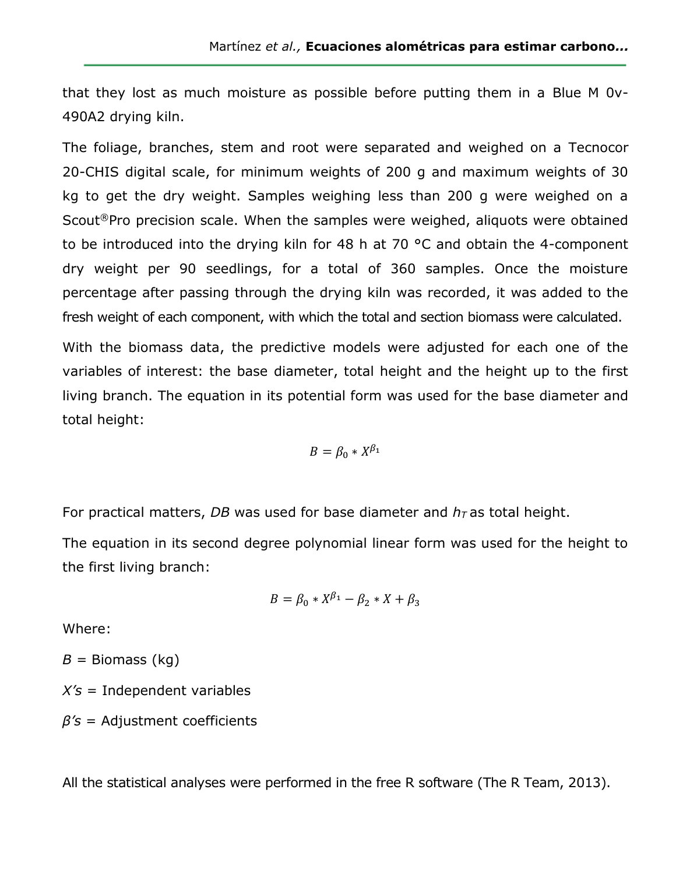that they lost as much moisture as possible before putting them in a Blue M 0v-490A2 drying kiln.

The foliage, branches, stem and root were separated and weighed on a Tecnocor 20-CHIS digital scale, for minimum weights of 200 g and maximum weights of 30 kg to get the dry weight. Samples weighing less than 200 g were weighed on a Scout®Pro precision scale. When the samples were weighed, aliquots were obtained to be introduced into the drying kiln for 48 h at 70 °C and obtain the 4-component dry weight per 90 seedlings, for a total of 360 samples. Once the moisture percentage after passing through the drying kiln was recorded, it was added to the fresh weight of each component, with which the total and section biomass were calculated.

With the biomass data, the predictive models were adjusted for each one of the variables of interest: the base diameter, total height and the height up to the first living branch. The equation in its potential form was used for the base diameter and total height:

$$
B = \beta_0 * X^{\beta_1}
$$

For practical matters, *DB* was used for base diameter and  $h<sub>T</sub>$  as total height.

The equation in its second degree polynomial linear form was used for the height to the first living branch:

$$
B = \beta_0 * X^{\beta_1} - \beta_2 * X + \beta_3
$$

Where:

*B =* Biomass (kg)

*X's* = Independent variables

*β's* = Adjustment coefficients

All the statistical analyses were performed in the free R software (The R Team, 2013).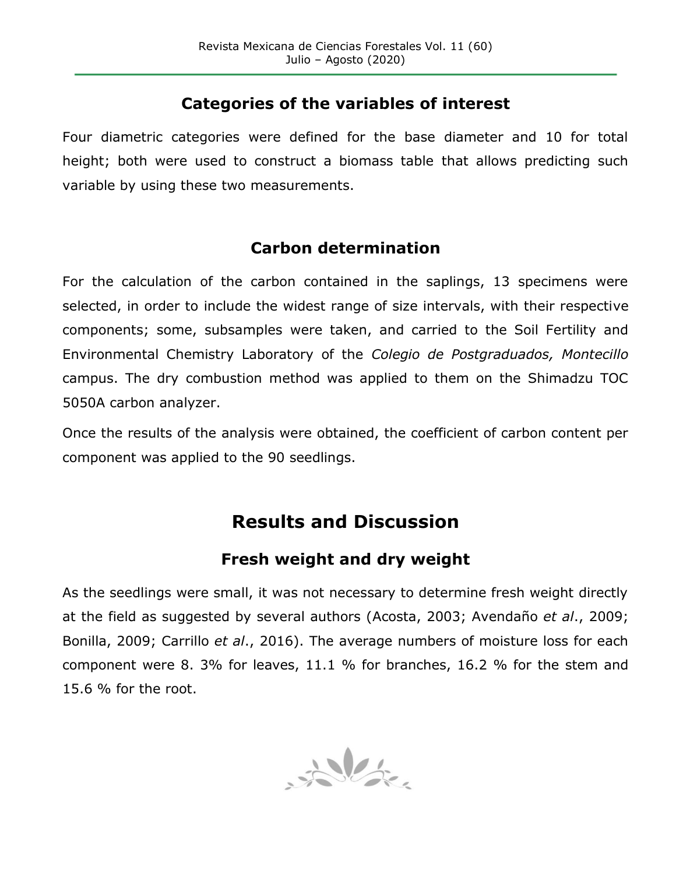### **Categories of the variables of interest**

Four diametric categories were defined for the base diameter and 10 for total height; both were used to construct a biomass table that allows predicting such variable by using these two measurements.

## **Carbon determination**

For the calculation of the carbon contained in the saplings, 13 specimens were selected, in order to include the widest range of size intervals, with their respective components; some, subsamples were taken, and carried to the Soil Fertility and Environmental Chemistry Laboratory of the *Colegio de Postgraduados, Montecillo* campus. The dry combustion method was applied to them on the Shimadzu TOC 5050A carbon analyzer.

Once the results of the analysis were obtained, the coefficient of carbon content per component was applied to the 90 seedlings.

# **Results and Discussion**

## **Fresh weight and dry weight**

As the seedlings were small, it was not necessary to determine fresh weight directly at the field as suggested by several authors (Acosta, 2003; Avendaño *et al*., 2009; Bonilla, 2009; Carrillo *et al*., 2016). The average numbers of moisture loss for each component were 8. 3% for leaves, 11.1 % for branches, 16.2 % for the stem and 15.6 % for the root.

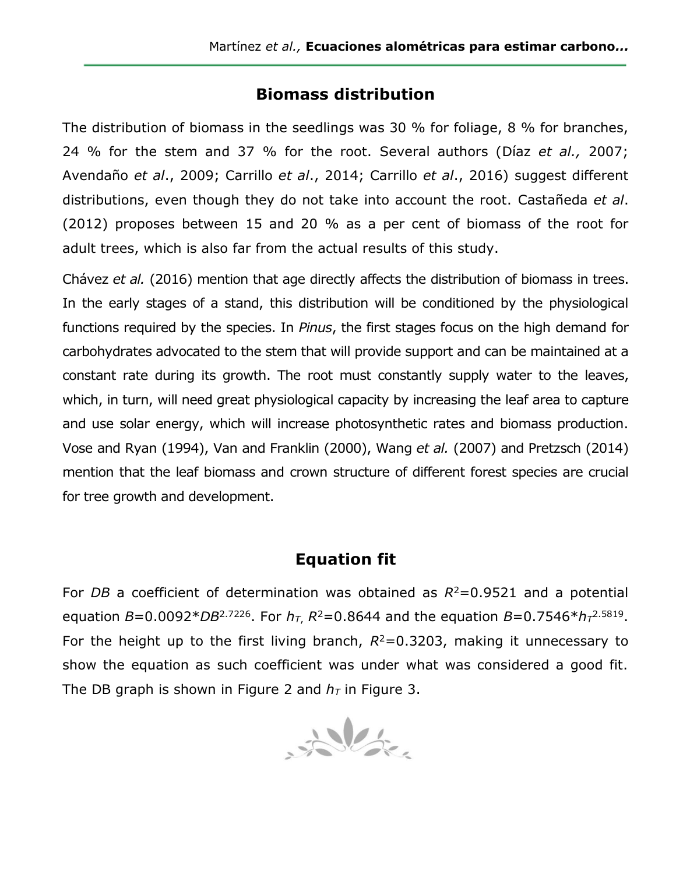#### **Biomass distribution**

The distribution of biomass in the seedlings was 30 % for foliage, 8 % for branches, 24 % for the stem and 37 % for the root. Several authors (Díaz *et al.,* 2007; Avendaño *et al*., 2009; Carrillo *et al*., 2014; Carrillo *et al*., 2016) suggest different distributions, even though they do not take into account the root. Castañeda *et al*. (2012) proposes between 15 and 20 % as a per cent of biomass of the root for adult trees, which is also far from the actual results of this study.

Chávez *et al.* (2016) mention that age directly affects the distribution of biomass in trees. In the early stages of a stand, this distribution will be conditioned by the physiological functions required by the species. In *Pinus*, the first stages focus on the high demand for carbohydrates advocated to the stem that will provide support and can be maintained at a constant rate during its growth. The root must constantly supply water to the leaves, which, in turn, will need great physiological capacity by increasing the leaf area to capture and use solar energy, which will increase photosynthetic rates and biomass production. Vose and Ryan (1994), Van and Franklin (2000), Wang *et al.* (2007) and Pretzsch (2014) mention that the leaf biomass and crown structure of different forest species are crucial for tree growth and development.

### **Equation fit**

For *DB* a coefficient of determination was obtained as  $R^2 = 0.9521$  and a potential equation *B*=0.0092\**DB*2.7226. For *hT*, *R*<sup>2</sup>=0.8644 and the equation *B*=0.7546\**h<sup>T</sup>* 2.5819 . For the height up to the first living branch,  $R^2$ =0.3203, making it unnecessary to show the equation as such coefficient was under what was considered a good fit. The DB graph is shown in Figure 2 and  $h<sub>T</sub>$  in Figure 3.

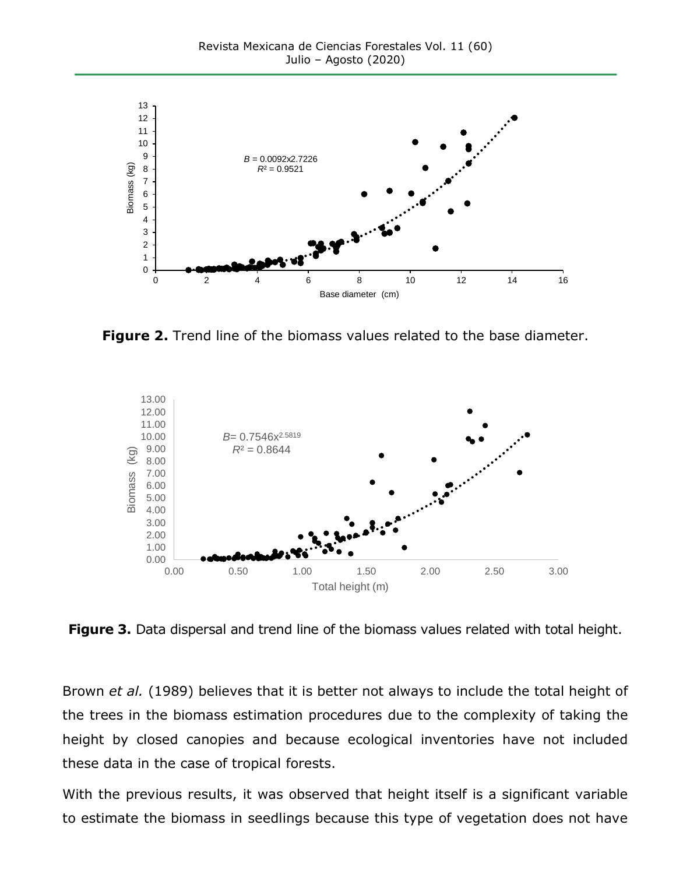

**Figure 2.** Trend line of the biomass values related to the base diameter.



**Figure 3.** Data dispersal and trend line of the biomass values related with total height.

Brown *et al.* (1989) believes that it is better not always to include the total height of the trees in the biomass estimation procedures due to the complexity of taking the height by closed canopies and because ecological inventories have not included these data in the case of tropical forests.

With the previous results, it was observed that height itself is a significant variable to estimate the biomass in seedlings because this type of vegetation does not have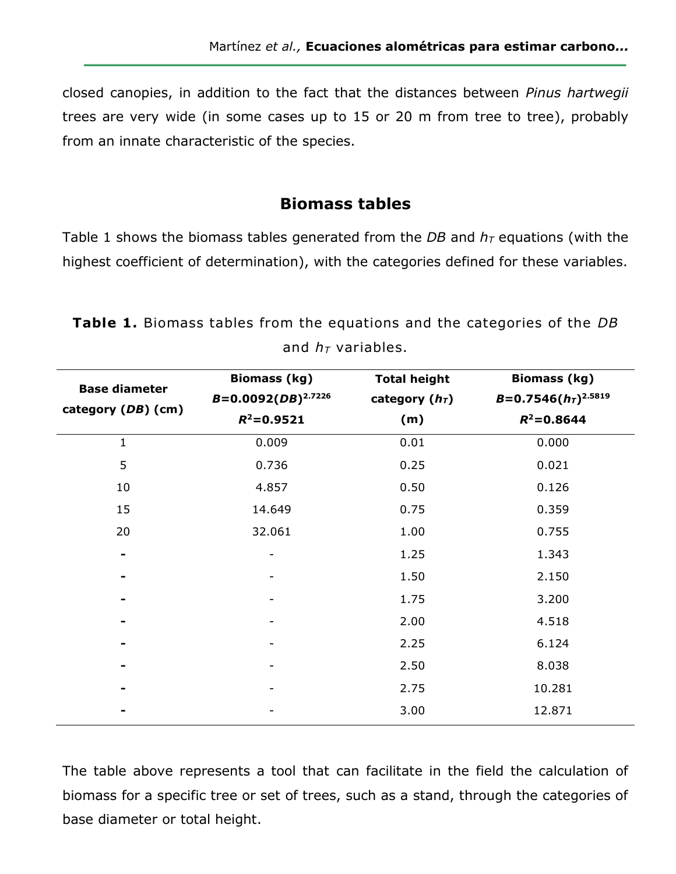closed canopies, in addition to the fact that the distances between *Pinus hartwegii* trees are very wide (in some cases up to 15 or 20 m from tree to tree), probably from an innate characteristic of the species.

#### **Biomass tables**

Table 1 shows the biomass tables generated from the *DB* and  $h<sub>T</sub>$  equations (with the highest coefficient of determination), with the categories defined for these variables.

| <b>Base diameter</b><br>category (DB) (cm) | <b>Biomass (kg)</b><br>$B=0.0092(DB)^{2.7226}$<br>$R^2 = 0.9521$ | <b>Total height</b><br>category $(hT)$<br>(m) | <b>Biomass (kg)</b><br>$B=0.7546(hT)2.5819$<br>$R^2 = 0.8644$ |  |  |  |
|--------------------------------------------|------------------------------------------------------------------|-----------------------------------------------|---------------------------------------------------------------|--|--|--|
| 1                                          | 0.009                                                            | 0.01                                          | 0.000                                                         |  |  |  |
| 5                                          | 0.736                                                            | 0.25                                          | 0.021                                                         |  |  |  |
| 10                                         | 4.857                                                            | 0.50                                          | 0.126                                                         |  |  |  |
| 15                                         | 14.649                                                           | 0.75                                          | 0.359                                                         |  |  |  |
| 20                                         | 32.061                                                           | 1.00                                          | 0.755                                                         |  |  |  |
| ۰                                          |                                                                  | 1.25                                          | 1.343                                                         |  |  |  |
|                                            |                                                                  | 1.50                                          | 2.150                                                         |  |  |  |
|                                            |                                                                  | 1.75                                          | 3.200                                                         |  |  |  |
|                                            |                                                                  | 2.00                                          | 4.518                                                         |  |  |  |
|                                            |                                                                  | 2.25                                          | 6.124                                                         |  |  |  |
|                                            |                                                                  | 2.50                                          | 8.038                                                         |  |  |  |
|                                            |                                                                  | 2.75                                          | 10.281                                                        |  |  |  |
|                                            |                                                                  | 3.00                                          | 12.871                                                        |  |  |  |

**Table 1.** Biomass tables from the equations and the categories of the *DB* and  $h<sub>T</sub>$  variables.

The table above represents a tool that can facilitate in the field the calculation of biomass for a specific tree or set of trees, such as a stand, through the categories of base diameter or total height.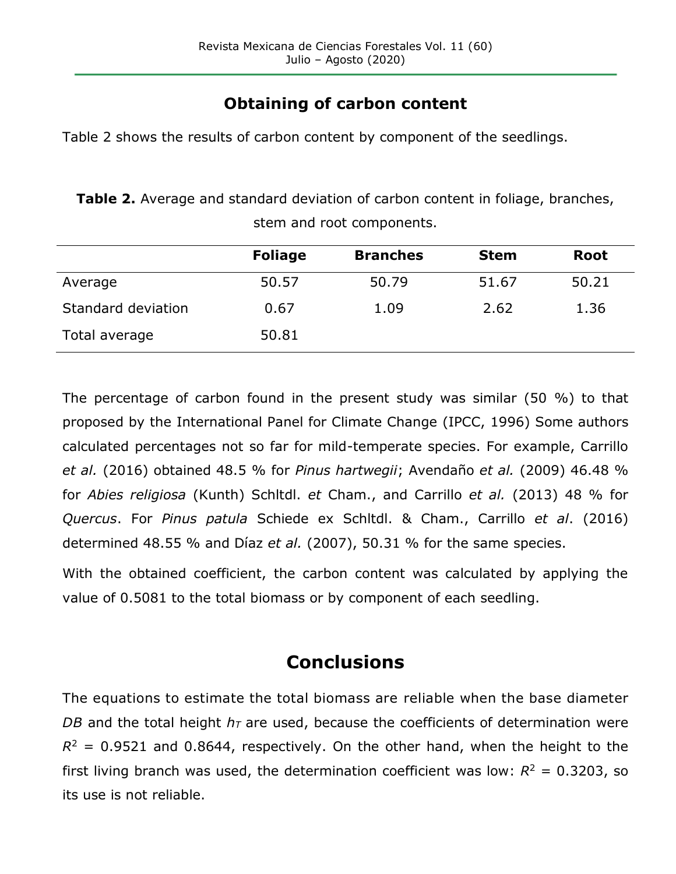## **Obtaining of carbon content**

Table 2 shows the results of carbon content by component of the seedlings.

**Table 2.** Average and standard deviation of carbon content in foliage, branches, stem and root components.

|                    | <b>Foliage</b> | <b>Branches</b> | <b>Stem</b> | <b>Root</b> |
|--------------------|----------------|-----------------|-------------|-------------|
| Average            | 50.57          | 50.79           | 51.67       | 50.21       |
| Standard deviation | 0.67           | 1.09            | 2.62        | 1.36        |
| Total average      | 50.81          |                 |             |             |

The percentage of carbon found in the present study was similar (50 %) to that proposed by the International Panel for Climate Change (IPCC, 1996) Some authors calculated percentages not so far for mild-temperate species. For example, Carrillo *et al.* (2016) obtained 48.5 % for *Pinus hartwegii*; Avendaño *et al.* (2009) 46.48 % for *Abies religiosa* (Kunth) Schltdl. *et* Cham., and Carrillo *et al.* (2013) 48 % for *Quercus*. For *Pinus patula* Schiede ex Schltdl. & Cham., Carrillo *et al*. (2016) determined 48.55 % and Díaz *et al.* (2007), 50.31 % for the same species.

With the obtained coefficient, the carbon content was calculated by applying the value of 0.5081 to the total biomass or by component of each seedling.

# **Conclusions**

The equations to estimate the total biomass are reliable when the base diameter *DB* and the total height  $h<sub>T</sub>$  are used, because the coefficients of determination were  $R^2$  = 0.9521 and 0.8644, respectively. On the other hand, when the height to the first living branch was used, the determination coefficient was low:  $R^2 = 0.3203$ , so its use is not reliable.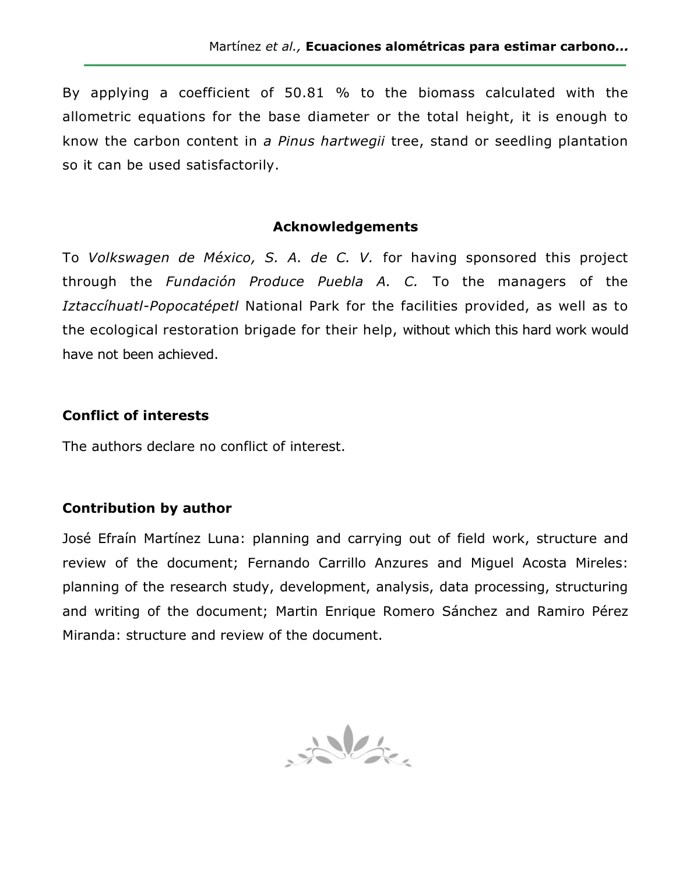By applying a coefficient of 50.81 % to the biomass calculated with the allometric equations for the base diameter or the total height, it is enough to know the carbon content in *a Pinus hartwegii* tree, stand or seedling plantation so it can be used satisfactorily.

#### **Acknowledgements**

To *Volkswagen de México, S. A. de C. V.* for having sponsored this project through the *Fundación Produce Puebla A. C.* To the managers of the *Iztaccíhuatl-Popocatépetl* National Park for the facilities provided, as well as to the ecological restoration brigade for their help, without which this hard work would have not been achieved.

#### **Conflict of interests**

The authors declare no conflict of interest.

#### **Contribution by author**

José Efraín Martínez Luna: planning and carrying out of field work, structure and review of the document; Fernando Carrillo Anzures and Miguel Acosta Mireles: planning of the research study, development, analysis, data processing, structuring and writing of the document; Martin Enrique Romero Sánchez and Ramiro Pérez Miranda: structure and review of the document.

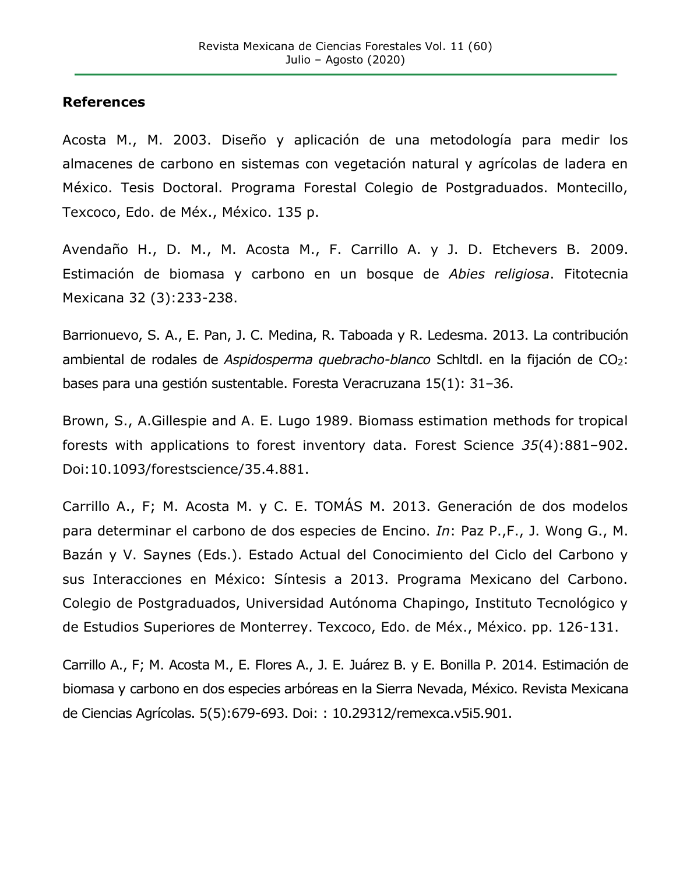#### **References**

Acosta M., M. 2003. Diseño y aplicación de una metodología para medir los almacenes de carbono en sistemas con vegetación natural y agrícolas de ladera en México. Tesis Doctoral. Programa Forestal Colegio de Postgraduados. Montecillo, Texcoco, Edo. de Méx., México. 135 p.

Avendaño H., D. M., M. Acosta M., F. Carrillo A. y J. D. Etchevers B. 2009. Estimación de biomasa y carbono en un bosque de *Abies religiosa*. Fitotecnia Mexicana 32 (3):233-238.

Barrionuevo, S. A., E. Pan, J. C. Medina, R. Taboada y R. Ledesma. 2013. La contribución ambiental de rodales de *Aspidosperma quebracho-blanco* Schitdi. en la fijación de CO<sub>2</sub>: bases para una gestión sustentable. Foresta Veracruzana 15(1): 31–36.

Brown, S., A.Gillespie and A. E. Lugo 1989. Biomass estimation methods for tropical forests with applications to forest inventory data. Forest Science *35*(4):881–902. Doi:10.1093/forestscience/35.4.881.

Carrillo A., F; M. Acosta M. y C. E. TOMÁS M. 2013. Generación de dos modelos para determinar el carbono de dos especies de Encino. *In*: Paz P.,F., J. Wong G., M. Bazán y V. Saynes (Eds.). Estado Actual del Conocimiento del Ciclo del Carbono y sus Interacciones en México: Síntesis a 2013. Programa Mexicano del Carbono. Colegio de Postgraduados, Universidad Autónoma Chapingo, Instituto Tecnológico y de Estudios Superiores de Monterrey. Texcoco, Edo. de Méx., México. pp. 126-131.

Carrillo A., F; M. Acosta M., E. Flores A., J. E. Juárez B. y E. Bonilla P. 2014. Estimación de biomasa y carbono en dos especies arbóreas en la Sierra Nevada, México. Revista Mexicana de Ciencias Agrícolas. 5(5):679-693. Doi: : 10.29312/remexca.v5i5.901.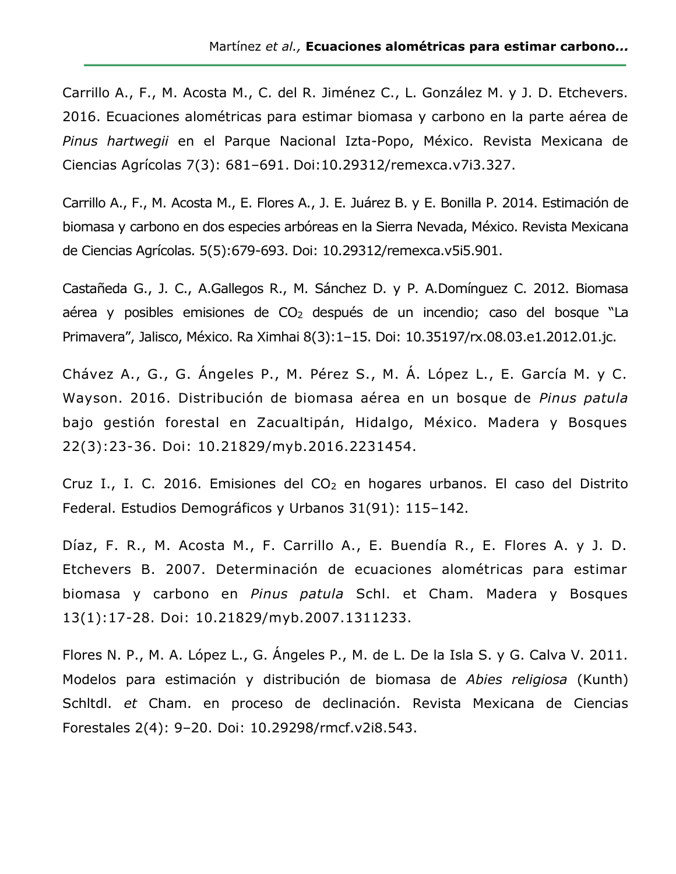Carrillo A., F., M. Acosta M., C. del R. Jiménez C., L. González M. y J. D. Etchevers. 2016. Ecuaciones alométricas para estimar biomasa y carbono en la parte aérea de *Pinus hartwegii* en el Parque Nacional Izta-Popo, México. Revista Mexicana de Ciencias Agrícolas 7(3): 681–691. Doi:10.29312/remexca.v7i3.327.

Carrillo A., F., M. Acosta M., E. Flores A., J. E. Juárez B. y E. Bonilla P. 2014. Estimación de biomasa y carbono en dos especies arbóreas en la Sierra Nevada, México. Revista Mexicana de Ciencias Agrícolas. 5(5):679-693. Doi: 10.29312/remexca.v5i5.901.

Castañeda G., J. C., A.Gallegos R., M. Sánchez D. y P. A.Domínguez C. 2012. Biomasa aérea y posibles emisiones de CO<sup>2</sup> después de un incendio; caso del bosque "La Primavera", Jalisco, México. Ra Ximhai 8(3):1–15. Doi: 10.35197/rx.08.03.e1.2012.01.jc.

Chávez A., G., G. Ángeles P., M. Pérez S., M. Á. López L., E. García M. y C. Wayson. 2016. Distribución de biomasa aérea en un bosque de *Pinus patula* bajo gestión forestal en Zacualtipán, Hidalgo, México. Madera y Bosques 22(3):23-36. Doi: 10.21829/myb.2016.2231454.

Cruz I., I. C. 2016. Emisiones del CO<sub>2</sub> en hogares urbanos. El caso del Distrito Federal. Estudios Demográficos y Urbanos 31(91): 115–142.

Díaz, F. R., M. Acosta M., F. Carrillo A., E. Buendía R., E. Flores A. y J. D. Etchevers B. 2007. Determinación de ecuaciones alométricas para estimar biomasa y carbono en *Pinus patula* Schl. et Cham. Madera y Bosques 13(1):17-28. Doi: 10.21829/myb.2007.1311233.

Flores N. P., M. A. López L., G. Ángeles P., M. de L. De la Isla S. y G. Calva V. 2011. Modelos para estimación y distribución de biomasa de *Abies religiosa* (Kunth) Schltdl. *et* Cham. en proceso de declinación. Revista Mexicana de Ciencias Forestales 2(4): 9–20. Doi: 10.29298/rmcf.v2i8.543.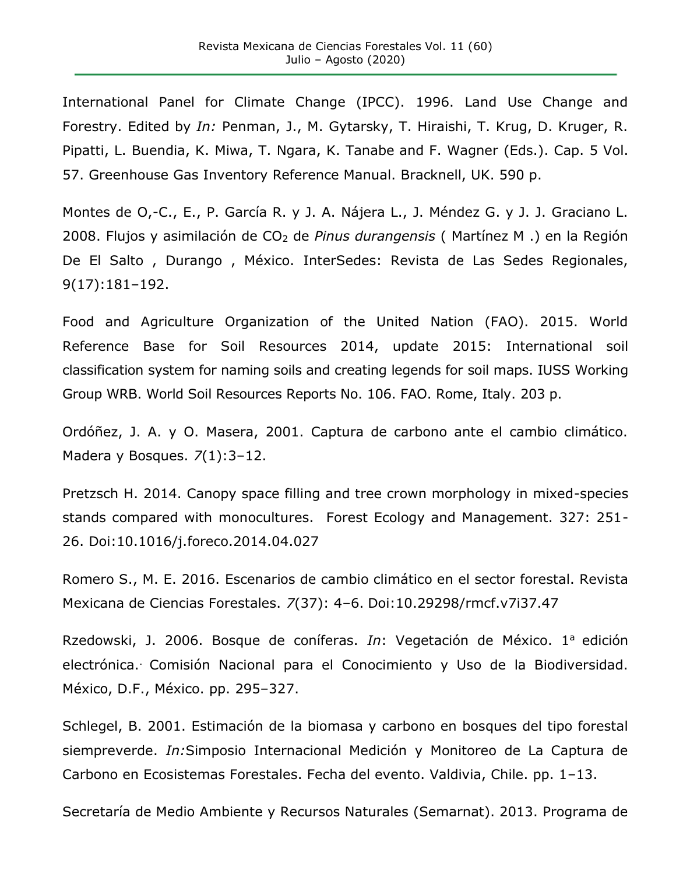International Panel for Climate Change (IPCC). 1996. Land Use Change and Forestry. Edited by *In:* Penman, J., M. Gytarsky, T. Hiraishi, T. Krug, D. Kruger, R. Pipatti, L. Buendia, K. Miwa, T. Ngara, K. Tanabe and F. Wagner (Eds.). Cap. 5 Vol. 57. Greenhouse Gas Inventory Reference Manual. Bracknell, UK. 590 p.

Montes de O,-C., E., P. García R. y J. A. Nájera L., J. Méndez G. y J. J. Graciano L. 2008. Flujos y asimilación de CO<sup>2</sup> de *Pinus durangensis* ( Martínez M .) en la Región De El Salto , Durango , México. InterSedes: Revista de Las Sedes Regionales, 9(17):181–192.

Food and Agriculture Organization of the United Nation (FAO). 2015. World Reference Base for Soil Resources 2014, update 2015: International soil classification system for naming soils and creating legends for soil maps. IUSS Working Group WRB. World Soil Resources Reports No. 106. FAO. Rome, Italy. 203 p.

Ordóñez, J. A. y O. Masera, 2001. Captura de carbono ante el cambio climático. Madera y Bosques. *7*(1):3–12.

Pretzsch H. 2014. Canopy space filling and tree crown morphology in mixed-species stands compared with monocultures. Forest Ecology and Management. 327: 251- 26. Doi:10.1016/j.foreco.2014.04.027

Romero S., M. E. 2016. Escenarios de cambio climático en el sector forestal. Revista Mexicana de Ciencias Forestales. *7*(37): 4–6. Doi:10.29298/rmcf.v7i37.47

Rzedowski, J. 2006. Bosque de coníferas. *In*: Vegetación de México. 1<sup>a</sup> edición electrónica.. Comisión Nacional para el Conocimiento y Uso de la Biodiversidad. México, D.F., México. pp. 295–327.

Schlegel, B. 2001. Estimación de la biomasa y carbono en bosques del tipo forestal siempreverde. *In:*Simposio Internacional Medición y Monitoreo de La Captura de Carbono en Ecosistemas Forestales. Fecha del evento. Valdivia, Chile. pp. 1–13.

Secretaría de Medio Ambiente y Recursos Naturales (Semarnat). 2013. Programa de